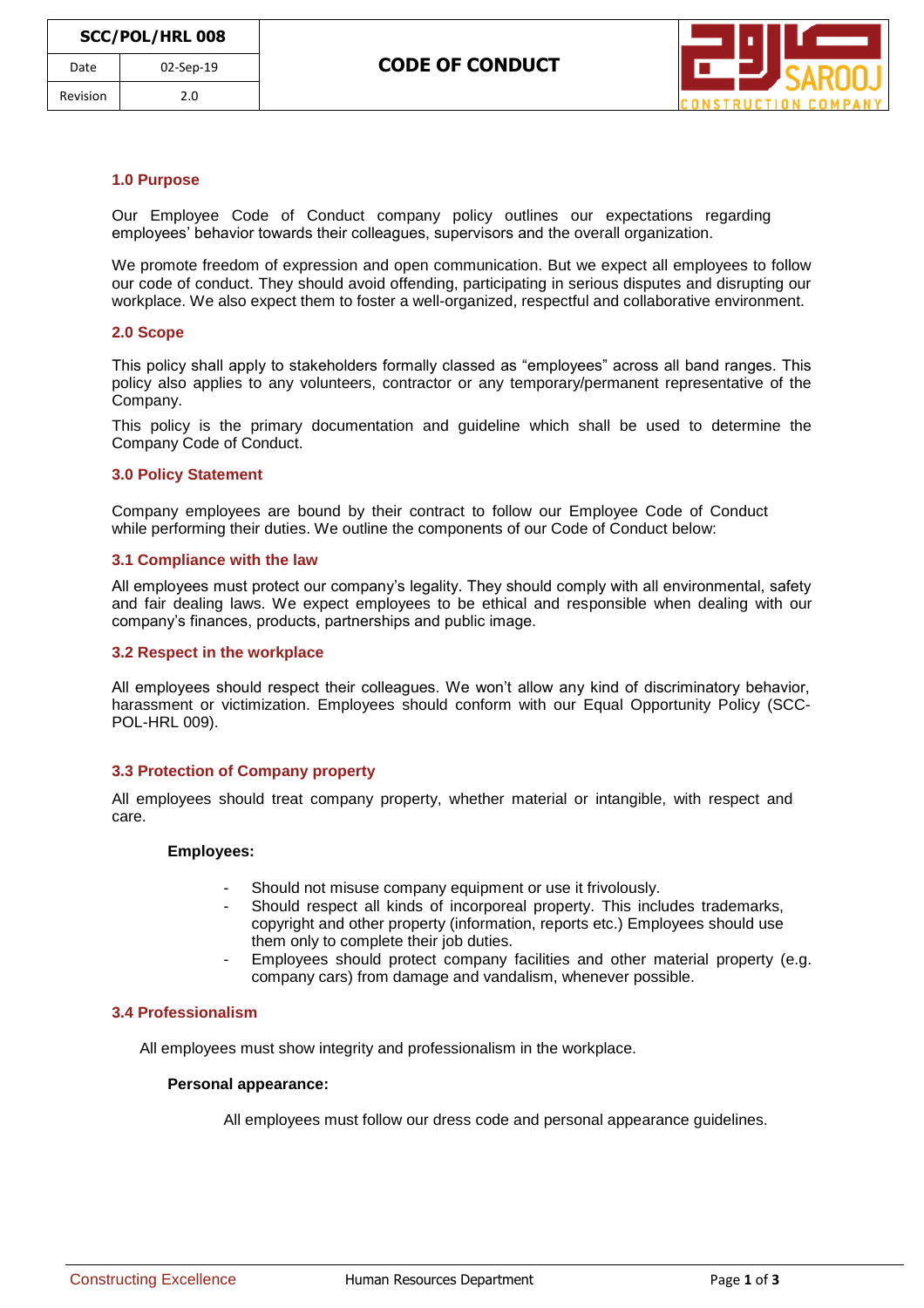

## **1.0 Purpose**

Our Employee Code of Conduct company policy outlines our expectations regarding employees' behavior towards their colleagues, supervisors and the overall organization.

We promote freedom of expression and open communication. But we expect all employees to follow our code of conduct. They should avoid offending, participating in serious disputes and disrupting our workplace. We also expect them to foster a well-organized, respectful and collaborative environment.

#### **2.0 Scope**

This policy shall apply to stakeholders formally classed as "employees" across all band ranges. This policy also applies to any volunteers, contractor or any temporary/permanent representative of the Company.

This policy is the primary documentation and guideline which shall be used to determine the Company Code of Conduct.

#### **3.0 Policy Statement**

Company employees are bound by their contract to follow our Employee Code of Conduct while performing their duties. We outline the components of our Code of Conduct below:

### **3.1 Compliance with the law**

All employees must protect our company's legality. They should comply with all environmental, safety and fair dealing laws. We expect employees to be ethical and responsible when dealing with our company's finances, products, partnerships and public image.

#### **3.2 Respect in the workplace**

All employees should respect their colleagues. We won't allow any kind of discriminatory behavior, harassment or victimization. Employees should conform with our Equal Opportunity Policy (SCC-POL-HRL 009).

### **3.3 Protection of Company property**

All employees should treat company property, whether material or intangible, with respect and care.

#### **Employees:**

- Should not misuse company equipment or use it frivolously.
- Should respect all kinds of incorporeal property. This includes trademarks, copyright and other property (information, reports etc.) Employees should use them only to complete their job duties.
- Employees should protect company facilities and other material property (e.g. company cars) from damage and vandalism, whenever possible.

# **3.4 Professionalism**

All employees must show integrity and professionalism in the workplace.

#### **Personal appearance:**

All employees must follow our dress code and personal appearance guidelines.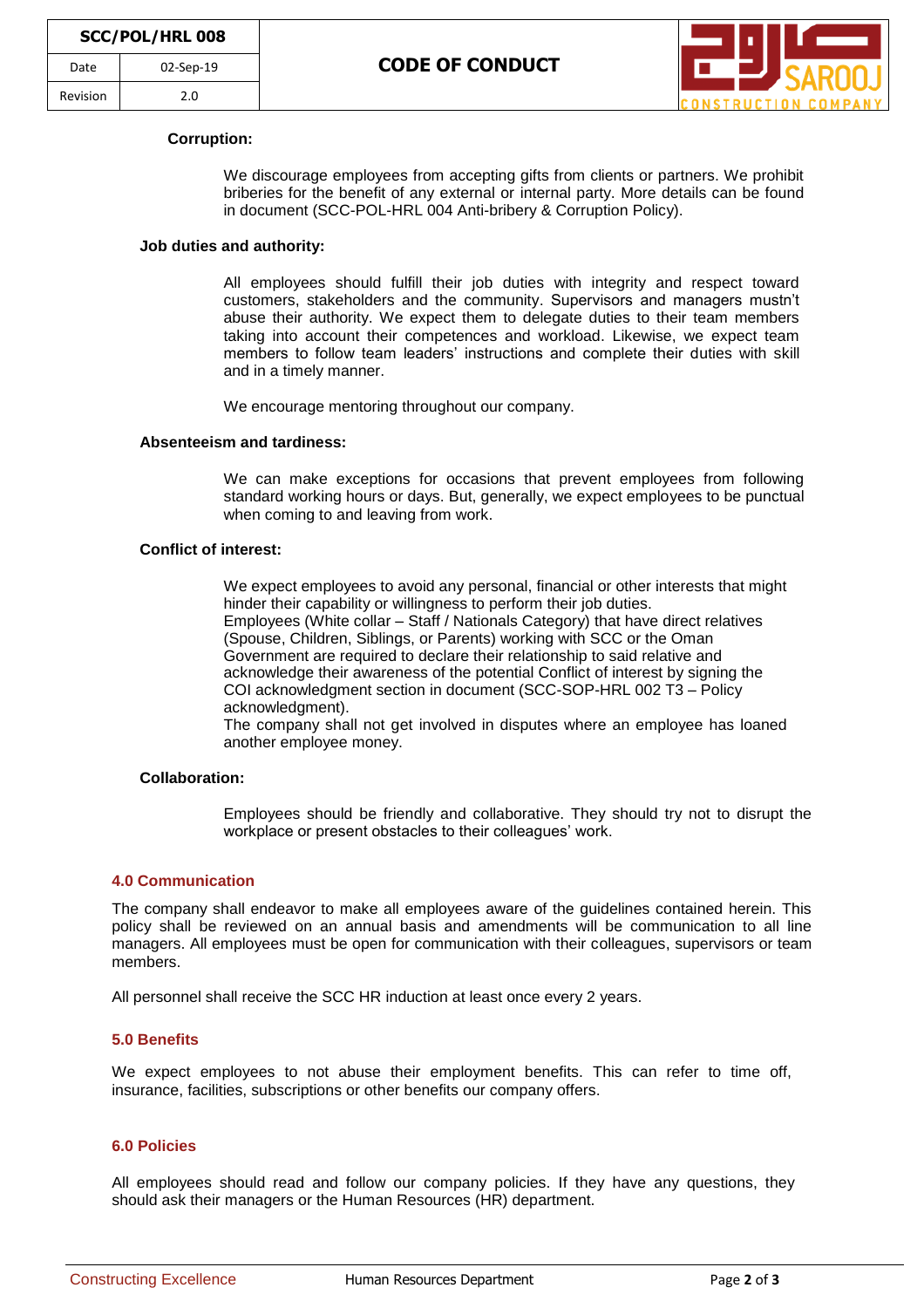

## **Corruption:**

We discourage employees from accepting gifts from clients or partners. We prohibit briberies for the benefit of any external or internal party. More details can be found in document (SCC-POL-HRL 004 Anti-bribery & Corruption Policy).

## **Job duties and authority:**

All employees should fulfill their job duties with integrity and respect toward customers, stakeholders and the community. Supervisors and managers mustn't abuse their authority. We expect them to delegate duties to their team members taking into account their competences and workload. Likewise, we expect team members to follow team leaders' instructions and complete their duties with skill and in a timely manner.

We encourage mentoring throughout our company.

## **Absenteeism and tardiness:**

We can make exceptions for occasions that prevent employees from following standard working hours or days. But, generally, we expect employees to be punctual when coming to and leaving from work.

### **Conflict of interest:**

We expect employees to avoid any personal, financial or other interests that might hinder their capability or willingness to perform their job duties. Employees (White collar – Staff / Nationals Category) that have direct relatives (Spouse, Children, Siblings, or Parents) working with SCC or the Oman Government are required to declare their relationship to said relative and acknowledge their awareness of the potential Conflict of interest by signing the COI acknowledgment section in document (SCC-SOP-HRL 002 T3 – Policy acknowledgment).

The company shall not get involved in disputes where an employee has loaned another employee money.

# **Collaboration:**

Employees should be friendly and collaborative. They should try not to disrupt the workplace or present obstacles to their colleagues' work.

### **4.0 Communication**

The company shall endeavor to make all employees aware of the guidelines contained herein. This policy shall be reviewed on an annual basis and amendments will be communication to all line managers. All employees must be open for communication with their colleagues, supervisors or team members.

All personnel shall receive the SCC HR induction at least once every 2 years.

### **5.0 Benefits**

We expect employees to not abuse their employment benefits. This can refer to time off, insurance, facilities, subscriptions or other benefits our company offers.

## **6.0 Policies**

All employees should read and follow our company policies. If they have any questions, they should ask their managers or the Human Resources (HR) department.